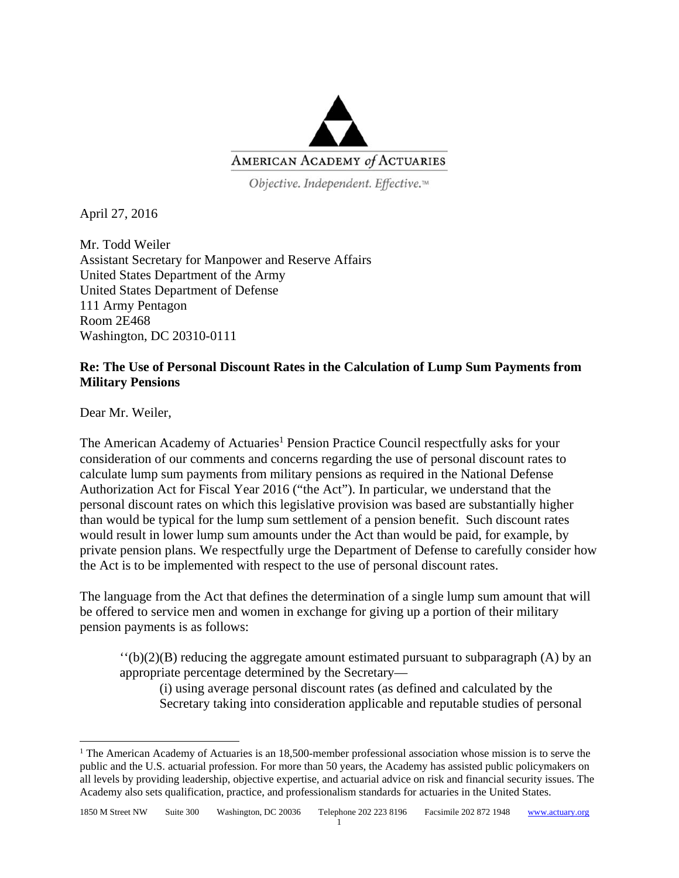

Objective. Independent. Effective.™

April 27, 2016

Mr. Todd Weiler Assistant Secretary for Manpower and Reserve Affairs United States Department of the Army United States Department of Defense 111 Army Pentagon Room 2E468 Washington, DC 20310-0111

## **Re: The Use of Personal Discount Rates in the Calculation of Lump Sum Payments from Military Pensions**

Dear Mr. Weiler,

The American Academy of Actuaries<sup>1</sup> Pension Practice Council respectfully asks for your consideration of our comments and concerns regarding the use of personal discount rates to calculate lump sum payments from military pensions as required in the National Defense Authorization Act for Fiscal Year 2016 ("the Act"). In particular, we understand that the personal discount rates on which this legislative provision was based are substantially higher than would be typical for the lump sum settlement of a pension benefit. Such discount rates would result in lower lump sum amounts under the Act than would be paid, for example, by private pension plans. We respectfully urge the Department of Defense to carefully consider how the Act is to be implemented with respect to the use of personal discount rates.

The language from the Act that defines the determination of a single lump sum amount that will be offered to service men and women in exchange for giving up a portion of their military pension payments is as follows:

 $'(b)(2)(B)$  reducing the aggregate amount estimated pursuant to subparagraph (A) by an appropriate percentage determined by the Secretary—

(i) using average personal discount rates (as defined and calculated by the Secretary taking into consideration applicable and reputable studies of personal

<sup>&</sup>lt;sup>1</sup> The American Academy of Actuaries is an 18,500-member professional association whose mission is to serve the public and the U.S. actuarial profession. For more than 50 years, the Academy has assisted public policymakers on all levels by providing leadership, objective expertise, and actuarial advice on risk and financial security issues. The Academy also sets qualification, practice, and professionalism standards for actuaries in the United States.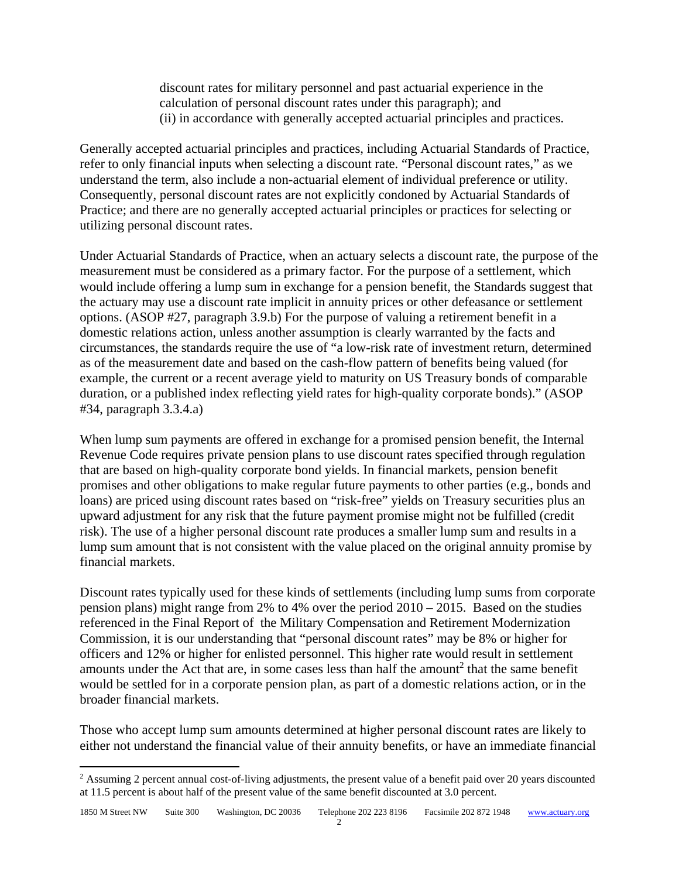discount rates for military personnel and past actuarial experience in the calculation of personal discount rates under this paragraph); and (ii) in accordance with generally accepted actuarial principles and practices.

Generally accepted actuarial principles and practices, including Actuarial Standards of Practice, refer to only financial inputs when selecting a discount rate. "Personal discount rates," as we understand the term, also include a non-actuarial element of individual preference or utility. Consequently, personal discount rates are not explicitly condoned by Actuarial Standards of Practice; and there are no generally accepted actuarial principles or practices for selecting or utilizing personal discount rates.

Under Actuarial Standards of Practice, when an actuary selects a discount rate, the purpose of the measurement must be considered as a primary factor. For the purpose of a settlement, which would include offering a lump sum in exchange for a pension benefit, the Standards suggest that the actuary may use a discount rate implicit in annuity prices or other defeasance or settlement options. (ASOP #27, paragraph 3.9.b) For the purpose of valuing a retirement benefit in a domestic relations action, unless another assumption is clearly warranted by the facts and circumstances, the standards require the use of "a low-risk rate of investment return, determined as of the measurement date and based on the cash-flow pattern of benefits being valued (for example, the current or a recent average yield to maturity on US Treasury bonds of comparable duration, or a published index reflecting yield rates for high-quality corporate bonds)." (ASOP #34, paragraph 3.3.4.a)

When lump sum payments are offered in exchange for a promised pension benefit, the Internal Revenue Code requires private pension plans to use discount rates specified through regulation that are based on high-quality corporate bond yields. In financial markets, pension benefit promises and other obligations to make regular future payments to other parties (e.g., bonds and loans) are priced using discount rates based on "risk-free" yields on Treasury securities plus an upward adjustment for any risk that the future payment promise might not be fulfilled (credit risk). The use of a higher personal discount rate produces a smaller lump sum and results in a lump sum amount that is not consistent with the value placed on the original annuity promise by financial markets.

Discount rates typically used for these kinds of settlements (including lump sums from corporate pension plans) might range from 2% to 4% over the period 2010 – 2015. Based on the studies referenced in the Final Report of the Military Compensation and Retirement Modernization Commission, it is our understanding that "personal discount rates" may be 8% or higher for officers and 12% or higher for enlisted personnel. This higher rate would result in settlement amounts under the Act that are, in some cases less than half the amount<sup>2</sup> that the same benefit would be settled for in a corporate pension plan, as part of a domestic relations action, or in the broader financial markets.

Those who accept lump sum amounts determined at higher personal discount rates are likely to either not understand the financial value of their annuity benefits, or have an immediate financial

<sup>&</sup>lt;sup>2</sup> Assuming 2 percent annual cost-of-living adjustments, the present value of a benefit paid over 20 years discounted at 11.5 percent is about half of the present value of the same benefit discounted at 3.0 percent.